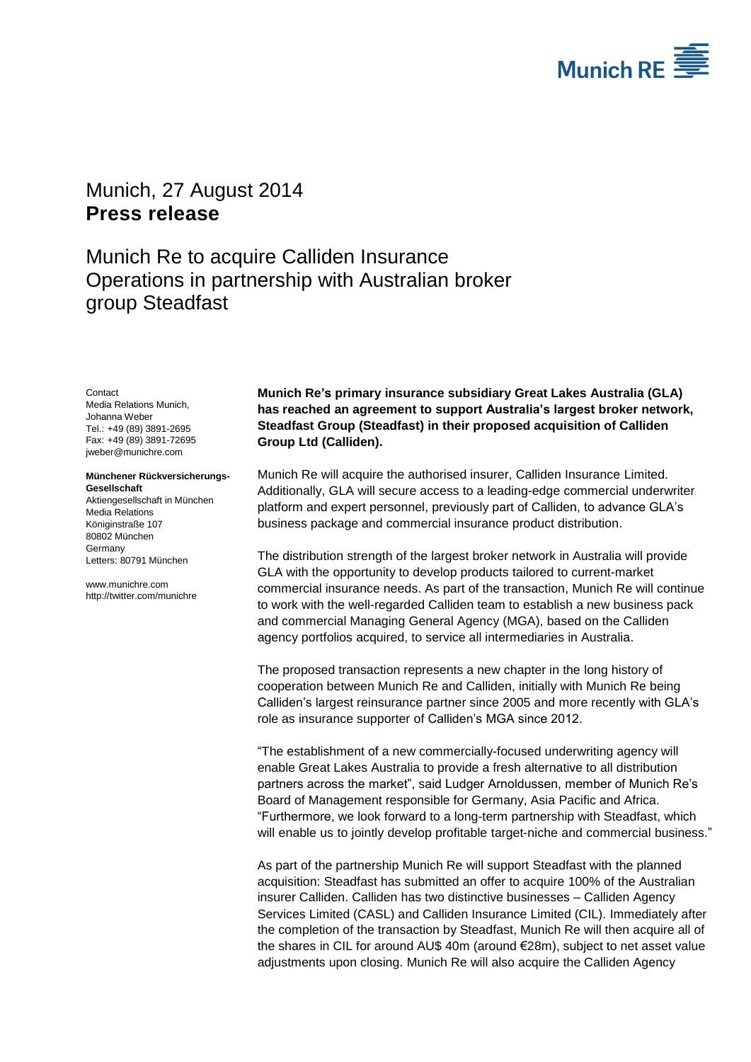

# <span id="page-0-2"></span>Munich, 27 August 2014 **Press release**

Munich Re to acquire Calliden Insurance Operations in partnership with Australian broker group Steadfast

#### **Contact**

<span id="page-0-1"></span><span id="page-0-0"></span>Media Relations Munich, Johanna Weber Tel.: +49 (89) 3891-2695 Fax: +49 (89) 3891-72695 jweber@munichre.com

#### **Münchener Rückversicherungs-Gesellschaft**

Aktiengesellschaft in München Media Relations Königinstraße 107 80802 München Germany Letters: 80791 München

www.munichre.com http://twitter.com/munichre

**Munich Re's primary insurance subsidiary Great Lakes Australia (GLA) has reached an agreement to support Australia's largest broker network, Steadfast Group (Steadfast) in their proposed acquisition of Calliden Group Ltd (Calliden).**

Munich Re will acquire the authorised insurer, Calliden Insurance Limited. Additionally, GLA will secure access to a leading-edge commercial underwriter platform and expert personnel, previously part of Calliden, to advance GLA's business package and commercial insurance product distribution.

The distribution strength of the largest broker network in Australia will provide GLA with the opportunity to develop products tailored to current-market commercial insurance needs. As part of the transaction, Munich Re will continue to work with the well-regarded Calliden team to establish a new business pack and commercial Managing General Agency (MGA), based on the Calliden agency portfolios acquired, to service all intermediaries in Australia.

The proposed transaction represents a new chapter in the long history of cooperation between Munich Re and Calliden, initially with Munich Re being Calliden's largest reinsurance partner since 2005 and more recently with GLA's role as insurance supporter of Calliden's MGA since 2012.

"The establishment of a new commercially-focused underwriting agency will enable Great Lakes Australia to provide a fresh alternative to all distribution partners across the market", said Ludger Arnoldussen, member of Munich Re's Board of Management responsible for Germany, Asia Pacific and Africa. "Furthermore, we look forward to a long-term partnership with Steadfast, which will enable us to jointly develop profitable target-niche and commercial business."

As part of the partnership Munich Re will support Steadfast with the planned acquisition: Steadfast has submitted an offer to acquire 100% of the Australian insurer Calliden. Calliden has two distinctive businesses – Calliden Agency Services Limited (CASL) and Calliden Insurance Limited (CIL). Immediately after the completion of the transaction by Steadfast, Munich Re will then acquire all of the shares in CIL for around AU\$ 40m (around €28m), subject to net asset value adjustments upon closing. Munich Re will also acquire the Calliden Agency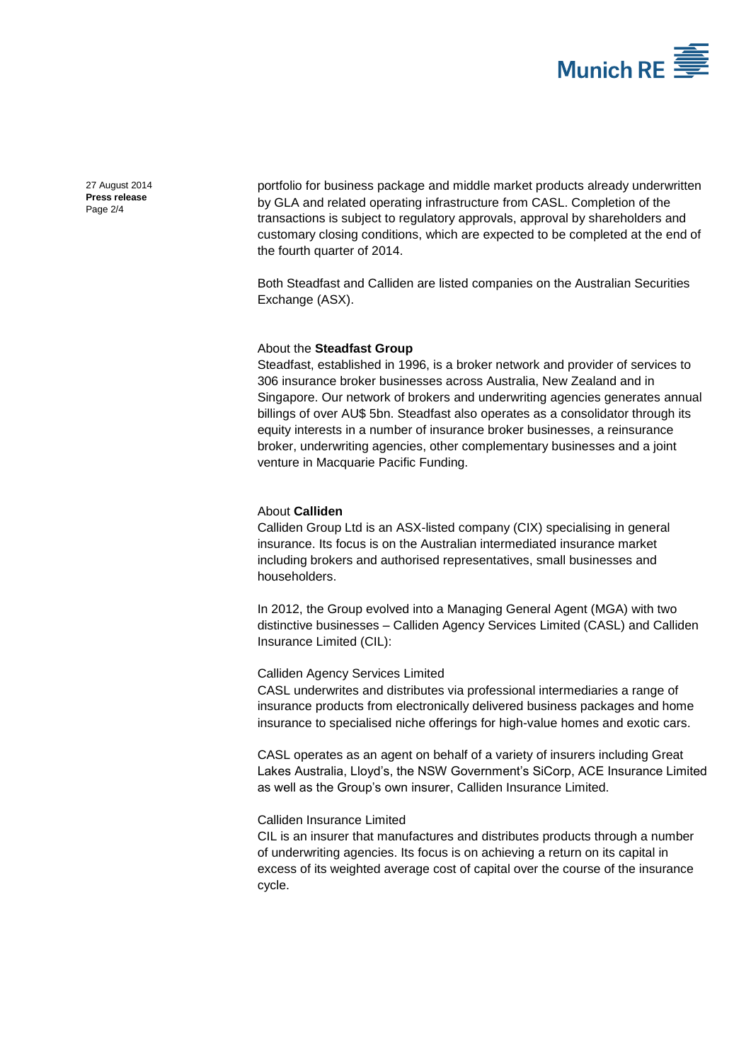

27 August 2014 **Press release** Page 2/4

portfolio for business package and middle market products already underwritten by GLA and related operating infrastructure from CASL. Completion of the transactions is subject to regulatory approvals, approval by shareholders and customary closing conditions, which are expected to be completed at the end of the fourth quarter of 2014.

Both Steadfast and Calliden are listed companies on the Australian Securities Exchange (ASX).

#### About the **Steadfast Group**

Steadfast, established in 1996, is a broker network and provider of services to 306 insurance broker businesses across Australia, New Zealand and in Singapore. Our network of brokers and underwriting agencies generates annual billings of over AU\$ 5bn. Steadfast also operates as a consolidator through its equity interests in a number of insurance broker businesses, a reinsurance broker, underwriting agencies, other complementary businesses and a joint venture in Macquarie Pacific Funding.

### About **Calliden**

Calliden Group Ltd is an ASX-listed company (CIX) specialising in general insurance. Its focus is on the Australian intermediated insurance market including brokers and authorised representatives, small businesses and householders.

In 2012, the Group evolved into a Managing General Agent (MGA) with two distinctive businesses – Calliden Agency Services Limited (CASL) and Calliden Insurance Limited (CIL):

Calliden Agency Services Limited

CASL underwrites and distributes via professional intermediaries a range of insurance products from electronically delivered business packages and home insurance to specialised niche offerings for high-value homes and exotic cars.

CASL operates as an agent on behalf of a variety of insurers including Great Lakes Australia, Lloyd's, the NSW Government's SiCorp, ACE Insurance Limited as well as the Group's own insurer, Calliden Insurance Limited.

## Calliden Insurance Limited

CIL is an insurer that manufactures and distributes products through a number of underwriting agencies. Its focus is on achieving a return on its capital in excess of its weighted average cost of capital over the course of the insurance cycle.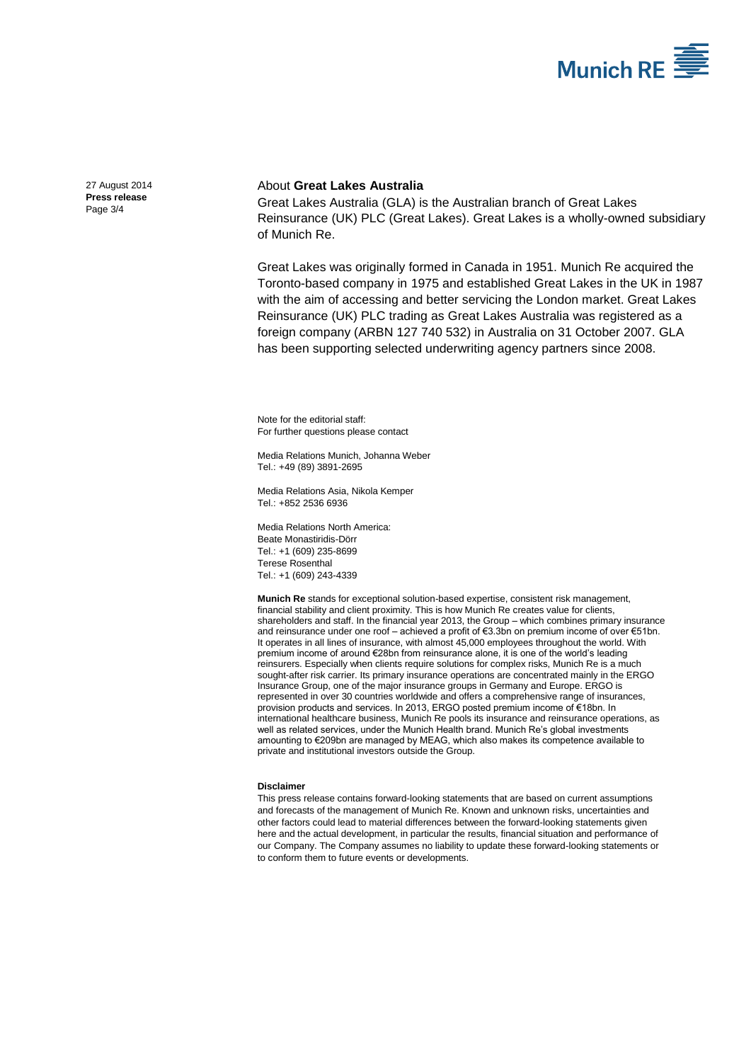

27 August 2014 **Press release** Page 3/4

## About **Great Lakes Australia**

Great Lakes Australia (GLA) is the Australian branch of Great Lakes Reinsurance (UK) PLC (Great Lakes). Great Lakes is a wholly-owned subsidiary of Munich Re.

Great Lakes was originally formed in Canada in 1951. Munich Re acquired the Toronto-based company in 1975 and established Great Lakes in the UK in 1987 with the aim of accessing and better servicing the London market. Great Lakes Reinsurance (UK) PLC trading as Great Lakes Australia was registered as a foreign company (ARBN 127 740 532) in Australia on 31 October 2007. GLA has been supporting selected underwriting agency partners since 2008.

Note for the editorial staff: For further questions please contact

Media Relations Munich[, Johanna Weber](#page-0-0)  Tel.: +49 (89) 389[1-2695](#page-0-1)

Media Relations Asia, Nikola Kemper Tel.: +852 2536 6936

Media Relations North America: Beate Monastiridis-Dörr Tel.: +1 (609) 235-8699 Terese Rosenthal Tel.: +1 (609) 243-4339

**Munich Re** stands for exceptional solution-based expertise, consistent risk management, financial stability and client proximity. This is how Munich Re creates value for clients, shareholders and staff. In the financial year 2013, the Group – which combines primary insurance and reinsurance under one roof – achieved a profit of €3.3bn on premium income of over €51bn. It operates in all lines of insurance, with almost 45,000 employees throughout the world. With premium income of around €28bn from reinsurance alone, it is one of the world's leading reinsurers. Especially when clients require solutions for complex risks, Munich Re is a much sought-after risk carrier. Its primary insurance operations are concentrated mainly in the ERGO Insurance Group, one of the major insurance groups in Germany and Europe. ERGO is represented in over 30 countries worldwide and offers a comprehensive range of insurances, provision products and services. In 2013, ERGO posted premium income of €18bn. In international healthcare business, Munich Re pools its insurance and reinsurance operations, as well as related services, under the Munich Health brand. Munich Re's global investments amounting to €209bn are managed by MEAG, which also makes its competence available to private and institutional investors outside the Group.

#### **Disclaimer**

This press release contains forward-looking statements that are based on current assumptions and forecasts of the management of Munich Re. Known and unknown risks, uncertainties and other factors could lead to material differences between the forward-looking statements given here and the actual development, in particular the results, financial situation and performance of our Company. The Company assumes no liability to update these forward-looking statements or to conform them to future events or developments.